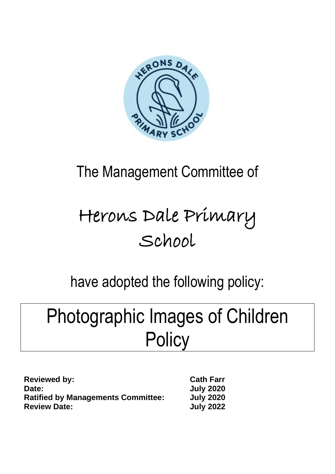

## The Management Committee of

# Herons Dale Primary School

### have adopted the following policy:

## Photographic Images of Children **Policy**

| <b>Reviewed by:</b>                       | <b>Cath Farr</b> |
|-------------------------------------------|------------------|
| Date:                                     | <b>July 2020</b> |
| <b>Ratified by Managements Committee:</b> | <b>July 2020</b> |
| <b>Review Date:</b>                       | <b>July 2022</b> |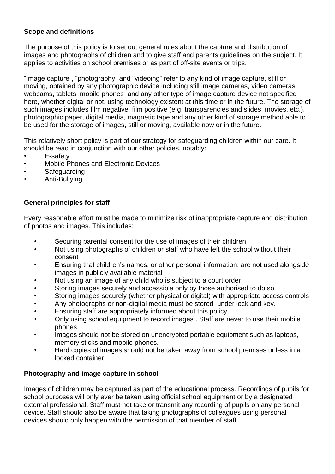### **Scope and definitions**

The purpose of this policy is to set out general rules about the capture and distribution of images and photographs of children and to give staff and parents guidelines on the subject. It applies to activities on school premises or as part of off-site events or trips.

"Image capture", "photography" and "videoing" refer to any kind of image capture, still or moving, obtained by any photographic device including still image cameras, video cameras, webcams, tablets, mobile phones and any other type of image capture device not specified here, whether digital or not, using technology existent at this time or in the future. The storage of such images includes film negative, film positive (e.g. transparencies and slides, movies, etc.), photographic paper, digital media, magnetic tape and any other kind of storage method able to be used for the storage of images, still or moving, available now or in the future.

This relatively short policy is part of our strategy for safeguarding children within our care. It should be read in conjunction with our other policies, notably:

- E-safety
- Mobile Phones and Electronic Devices
- **Safeguarding**
- Anti-Bullying

#### **General principles for staff**

Every reasonable effort must be made to minimize risk of inappropriate capture and distribution of photos and images. This includes:

- Securing parental consent for the use of images of their children
- Not using photographs of children or staff who have left the school without their consent
- Ensuring that children's names, or other personal information, are not used alongside images in publicly available material
- Not using an image of any child who is subject to a court order
- Storing images securely and accessible only by those authorised to do so
- Storing images securely (whether physical or digital) with appropriate access controls
- Any photographs or non-digital media must be stored under lock and key.
- Ensuring staff are appropriately informed about this policy
- Only using school equipment to record images . Staff are never to use their mobile phones
- Images should not be stored on unencrypted portable equipment such as laptops, memory sticks and mobile phones.
- Hard copies of images should not be taken away from school premises unless in a locked container.

### **Photography and image capture in school**

Images of children may be captured as part of the educational process. Recordings of pupils for school purposes will only ever be taken using official school equipment or by a designated external professional. Staff must not take or transmit any recording of pupils on any personal device. Staff should also be aware that taking photographs of colleagues using personal devices should only happen with the permission of that member of staff.